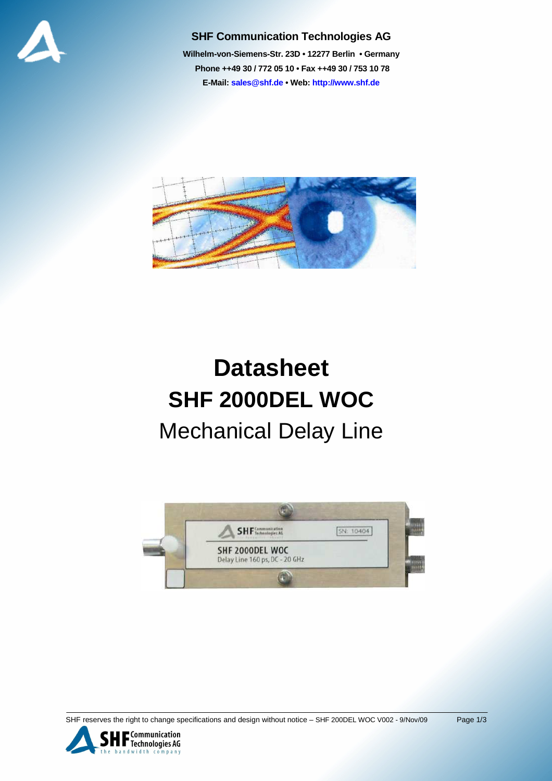

#### **SHF Communication Technologies AG**

**Wilhelm-von-Siemens-Str. 23D • 12277 Berlin • Germany Phone ++49 30 / 772 05 10 • Fax ++49 30 / 753 10 78 E-Mail: sales@shf.de • Web: http://www.shf.de**



# **Datasheet SHF 2000DEL WOC**  Mechanical Delay Line



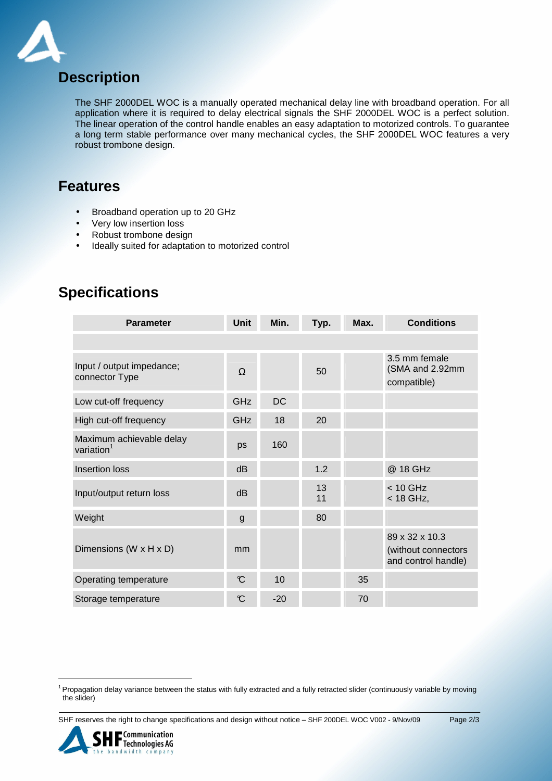

### **Description**

The SHF 2000DEL WOC is a manually operated mechanical delay line with broadband operation. For all application where it is required to delay electrical signals the SHF 2000DEL WOC is a perfect solution. The linear operation of the control handle enables an easy adaptation to motorized controls. To guarantee a long term stable performance over many mechanical cycles, the SHF 2000DEL WOC features a very robust trombone design.

#### **Features**

- Broadband operation up to 20 GHz
- Very low insertion loss
- Robust trombone design
- Ideally suited for adaptation to motorized control

| <b>Parameter</b>                                   | Unit           | Min.      | Typ.     | Max. | <b>Conditions</b>                                            |
|----------------------------------------------------|----------------|-----------|----------|------|--------------------------------------------------------------|
|                                                    |                |           |          |      |                                                              |
| Input / output impedance;<br>connector Type        | $\Omega$       |           | 50       |      | 3.5 mm female<br>(SMA and 2.92mm<br>compatible)              |
| Low cut-off frequency                              | GHz            | <b>DC</b> |          |      |                                                              |
| High cut-off frequency                             | GHz            | 18        | 20       |      |                                                              |
| Maximum achievable delay<br>variation <sup>1</sup> | ps             | 160       |          |      |                                                              |
| <b>Insertion loss</b>                              | dB             |           | 1.2      |      | @ 18 GHz                                                     |
| Input/output return loss                           | dB             |           | 13<br>11 |      | $< 10$ GHz<br>$<$ 18 GHz,                                    |
| Weight                                             | $\mathsf{g}$   |           | 80       |      |                                                              |
| Dimensions (W x H x D)                             | mm             |           |          |      | 89 x 32 x 10.3<br>(without connectors<br>and control handle) |
| Operating temperature                              | $\mathcal{C}$  | 10        |          | 35   |                                                              |
| Storage temperature                                | $\mathfrak{C}$ | $-20$     |          | 70   |                                                              |

## **Specifications**

SHF reserves the right to change specifications and design without notice - SHF 200DEL WOC V002 - 9/Nov/09 Page 2/3



l

<sup>&</sup>lt;sup>1</sup> Propagation delay variance between the status with fully extracted and a fully retracted slider (continuously variable by moving the slider)